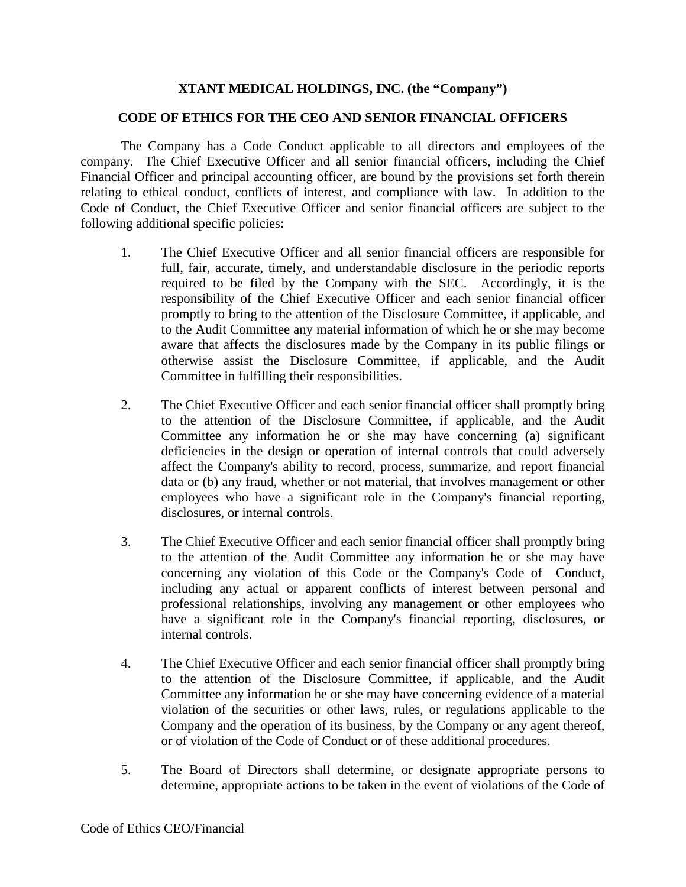## **XTANT MEDICAL HOLDINGS, INC. (the "Company")**

## **CODE OF ETHICS FOR THE CEO AND SENIOR FINANCIAL OFFICERS**

The Company has a Code Conduct applicable to all directors and employees of the company. The Chief Executive Officer and all senior financial officers, including the Chief Financial Officer and principal accounting officer, are bound by the provisions set forth therein relating to ethical conduct, conflicts of interest, and compliance with law. In addition to the Code of Conduct, the Chief Executive Officer and senior financial officers are subject to the following additional specific policies:

- 1. The Chief Executive Officer and all senior financial officers are responsible for full, fair, accurate, timely, and understandable disclosure in the periodic reports required to be filed by the Company with the SEC. Accordingly, it is the responsibility of the Chief Executive Officer and each senior financial officer promptly to bring to the attention of the Disclosure Committee, if applicable, and to the Audit Committee any material information of which he or she may become aware that affects the disclosures made by the Company in its public filings or otherwise assist the Disclosure Committee, if applicable, and the Audit Committee in fulfilling their responsibilities.
- 2. The Chief Executive Officer and each senior financial officer shall promptly bring to the attention of the Disclosure Committee, if applicable, and the Audit Committee any information he or she may have concerning (a) significant deficiencies in the design or operation of internal controls that could adversely affect the Company's ability to record, process, summarize, and report financial data or (b) any fraud, whether or not material, that involves management or other employees who have a significant role in the Company's financial reporting, disclosures, or internal controls.
- 3. The Chief Executive Officer and each senior financial officer shall promptly bring to the attention of the Audit Committee any information he or she may have concerning any violation of this Code or the Company's Code of Conduct, including any actual or apparent conflicts of interest between personal and professional relationships, involving any management or other employees who have a significant role in the Company's financial reporting, disclosures, or internal controls.
- 4. The Chief Executive Officer and each senior financial officer shall promptly bring to the attention of the Disclosure Committee, if applicable, and the Audit Committee any information he or she may have concerning evidence of a material violation of the securities or other laws, rules, or regulations applicable to the Company and the operation of its business, by the Company or any agent thereof, or of violation of the Code of Conduct or of these additional procedures.
- 5. The Board of Directors shall determine, or designate appropriate persons to determine, appropriate actions to be taken in the event of violations of the Code of